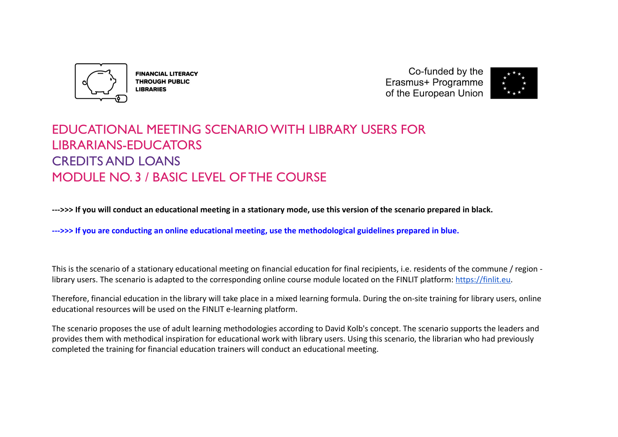

**FINANCIAL LITERACY THROUGH PUBLIC LIBRARIES** 

Co-funded by the Erasmus+ Programme of the European Union



# EDUCATIONAL MEETING SCENARIO WITH LIBRARY USERS FOR LIBRARIANS-EDUCATORS CREDITS AND LOANS MODULE NO. 3 / BASIC LEVEL OF THE COURSE

**--->>> If you will conduct an educational meeting in a stationary mode, use this version of the scenario prepared in black.**

**--->>> If you are conducting an online educational meeting, use the methodological guidelines prepared in blue.**

This is the scenario of a stationary educational meeting on financial education for final recipients, i.e. residents of the commune / region library users. The scenario is adapted to the corresponding online course module located on the FINLIT platform: [https://finlit.eu.](https://finlit.eu)

Therefore, financial education in the library will take place in a mixed learning formula. During the on-site training for library users, online educational resources will be used on the FINLIT e-learning platform.

The scenario proposes the use of adult learning methodologies according to David Kolb's concept. The scenario supports the leaders and provides them with methodical inspiration for educational work with library users. Using this scenario, the librarian who had previously completed the training for financial education trainers will conduct an educational meeting.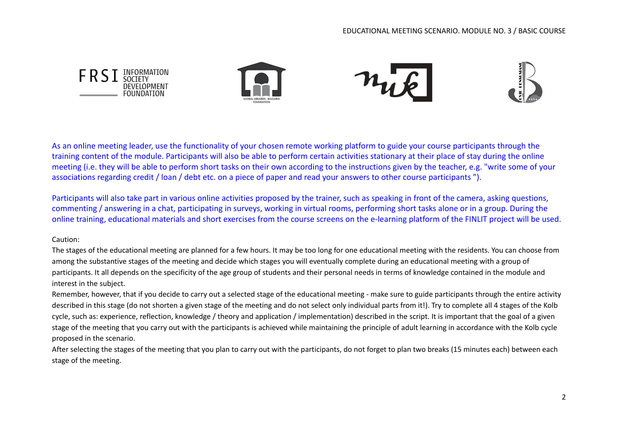

As an online meeting leader, use the functionality of your chosen remote working platform to guide your course participants through the training content of the module. Participants will also be able to perform certain activities stationary at their place of stay during the online meeting (i.e. they will be able to perform short tasks on their own according to the instructions given by the teacher, e.g. "write some of your associations regarding credit / loan / debt etc. on a piece of paper and read your answers to other course participants ").

Participants will also take part in various online activities proposed by the trainer, such as speaking in front of the camera, asking questions, commenting / answering in a chat, participating in surveys, working in virtual rooms, performing short tasks alone or in a group. During the online training, educational materials and short exercises from the course screens on the e-learning platform of the FINLIT project will be used.

#### Caution:

The stages of the educational meeting are planned for a few hours. It may be too long for one educational meeting with the residents. You can choose from among the substantive stages of the meeting and decide which stages you will eventually complete during an educational meeting with a group of participants. It all depends on the specificity of the age group of students and their personal needs in terms of knowledge contained in the module and interest in the subject.

Remember, however, that if you decide to carry out a selected stage of the educational meeting - make sure to guide participants through the entire activity described in this stage (do not shorten a given stage of the meeting and do not select only individual parts from it!). Try to complete all 4 stages of the Kolb cycle, such as: experience, reflection, knowledge / theory and application / implementation) described in the script. It is important that the goal of a given stage of the meeting that you carry out with the participants is achieved while maintaining the principle of adult learning in accordance with the Kolb cycle proposed in the scenario.

After selecting the stages of the meeting that you plan to carry out with the participants, do not forget to plan two breaks (15 minutes each) between each stage of the meeting.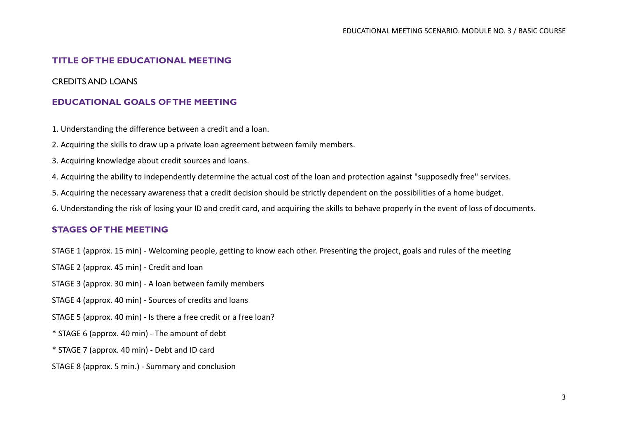## **TITLE OF THE EDUCATIONAL MEETING**

## CREDITS AND LOANS

#### **EDUCATIONAL GOALS OF THE MEETING**

1. Understanding the difference between a credit and a loan.

2. Acquiring the skills to draw up a private loan agreement between family members.

3. Acquiring knowledge about credit sources and loans.

4. Acquiring the ability to independently determine the actual cost of the loan and protection against "supposedly free" services.

5. Acquiring the necessary awareness that a credit decision should be strictly dependent on the possibilities of a home budget.

6. Understanding the risk of losing your ID and credit card, and acquiring the skills to behave properly in the event of loss of documents.

## **STAGES OF THE MEETING**

STAGE 1 (approx. 15 min) - Welcoming people, getting to know each other. Presenting the project, goals and rules of the meeting

STAGE 2 (approx. 45 min) - Credit and loan

STAGE 3 (approx. 30 min) - A loan between family members

STAGE 4 (approx. 40 min) - Sources of credits and loans

STAGE 5 (approx. 40 min) - Is there a free credit or a free loan?

\* STAGE 6 (approx. 40 min) - The amount of debt

\* STAGE 7 (approx. 40 min) - Debt and ID card

STAGE 8 (approx. 5 min.) - Summary and conclusion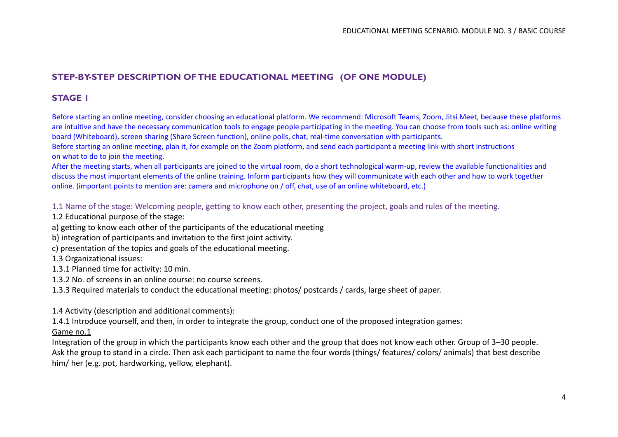## **STEP-BY-STEP DESCRIPTION OF THE EDUCATIONAL MEETING (OF ONE MODULE)**

## **STAGE 1**

Before starting an online meeting, consider choosing an educational platform. We recommend: Microsoft Teams, Zoom, Jitsi Meet, because these platforms are intuitive and have the necessary communication tools to engage people participating in the meeting. You can choose from tools such as: online writing board (Whiteboard), screen sharing (Share Screen function), online polls, chat, real-time conversation with participants.

Before starting an online meeting, plan it, for example on the Zoom platform, and send each participant a meeting link with short instructions on what to do to join the meeting.

After the meeting starts, when all participants are joined to the virtual room, do a short technological warm-up, review the available functionalities and discuss the most important elements of the online training. Inform participants how they will communicate with each other and how to work together online. (important points to mention are: camera and microphone on / off, chat, use of an online whiteboard, etc.)

1.1 Name of the stage: Welcoming people, getting to know each other, presenting the project, goals and rules of the meeting.

1.2 Educational purpose of the stage:

a) getting to know each other of the participants of the educational meeting

b) integration of participants and invitation to the first joint activity.

c) presentation of the topics and goals of the educational meeting.

1.3 Organizational issues:

1.3.1 Planned time for activity: 10 min.

1.3.2 No. of screens in an online course: no course screens.

1.3.3 Required materials to conduct the educational meeting: photos/ postcards / cards, large sheet of paper.

1.4 Activity (description and additional comments):

1.4.1 Introduce yourself, and then, in order to integrate the group, conduct one of the proposed integration games:

Game no.1

Integration of the group in which the participants know each other and the group that does not know each other. Group of 3–30 people. Ask the group to stand in a circle. Then ask each participant to name the four words (things/ features/ colors/ animals) that best describe him/ her (e.g. pot, hardworking, yellow, elephant).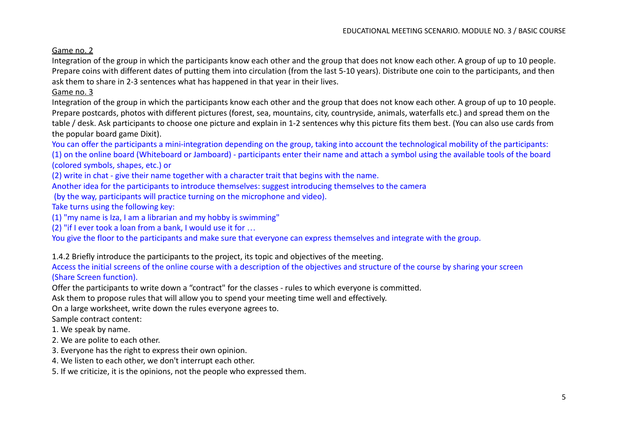## Game no. 2

Integration of the group in which the participants know each other and the group that does not know each other. A group of up to 10 people. Prepare coins with different dates of putting them into circulation (from the last 5-10 years). Distribute one coin to the participants, and then ask them to share in 2-3 sentences what has happened in that year in their lives.

## Game no. 3

Integration of the group in which the participants know each other and the group that does not know each other. A group of up to 10 people. Prepare postcards, photos with different pictures (forest, sea, mountains, city, countryside, animals, waterfalls etc.) and spread them on the table / desk. Ask participants to choose one picture and explain in 1-2 sentences why this picture fits them best. (You can also use cards from the popular board game Dixit).

You can offer the participants a mini-integration depending on the group, taking into account the technological mobility of the participants: (1) on the online board (Whiteboard or Jamboard) - participants enter their name and attach a symbol using the available tools of the board (colored symbols, shapes, etc.) or

(2) write in chat - give their name together with a character trait that begins with the name.

Another idea for the participants to introduce themselves: suggest introducing themselves to the camera

(by the way, participants will practice turning on the microphone and video).

Take turns using the following key:

(1) "my name is Iza, I am a librarian and my hobby is swimming"

(2) "if I ever took a loan from a bank, I would use it for …

You give the floor to the participants and make sure that everyone can express themselves and integrate with the group.

1.4.2 Briefly introduce the participants to the project, its topic and objectives of the meeting.

Access the initial screens of the online course with a description of the objectives and structure of the course by sharing your screen (Share Screen function).

Offer the participants to write down a "contract" for the classes - rules to which everyone is committed.

Ask them to propose rules that will allow you to spend your meeting time well and effectively.

On a large worksheet, write down the rules everyone agrees to.

Sample contract content:

1. We speak by name.

2. We are polite to each other.

- 3. Everyone has the right to express their own opinion.
- 4. We listen to each other, we don't interrupt each other.

5. If we criticize, it is the opinions, not the people who expressed them.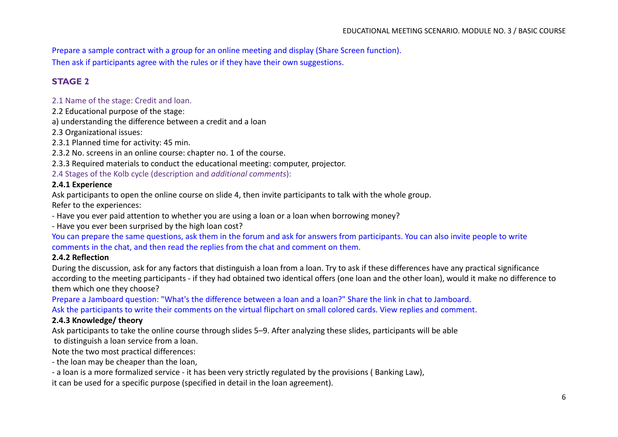Prepare a sample contract with a group for an online meeting and display (Share Screen function). Then ask if participants agree with the rules or if they have their own suggestions.

# **STAGE 2**

## 2.1 Name of the stage: Credit and loan.

2.2 Educational purpose of the stage:

a) understanding the difference between a credit and a loan

2.3 Organizational issues:

2.3.1 Planned time for activity: 45 min.

2.3.2 No. screens in an online course: chapter no. 1 of the course.

2.3.3 Required materials to conduct the educational meeting: computer, projector.

2.4 Stages of the Kolb cycle (description and *additional comments*):

#### **2.4.1 Experience**

Ask participants to open the online course on slide 4, then invite participants to talk with the whole group. Refer to the experiences:

- Have you ever paid attention to whether you are using a loan or a loan when borrowing money?

- Have you ever been surprised by the high loan cost?

You can prepare the same questions, ask them in the forum and ask for answers from participants. You can also invite people to write comments in the chat, and then read the replies from the chat and comment on them.

#### **2.4.2 Reflection**

During the discussion, ask for any factors that distinguish a loan from a loan. Try to ask if these differences have any practical significance according to the meeting participants - if they had obtained two identical offers (one loan and the other loan), would it make no difference to them which one they choose?

Prepare a Jamboard question: "What's the difference between a loan and a loan?" Share the link in chat to Jamboard. Ask the participants to write their comments on the virtual flipchart on small colored cards. View replies and comment.

## **2.4.3 Knowledge/ theory**

Ask participants to take the online course through slides 5–9. After analyzing these slides, participants will be able

to distinguish a loan service from a loan.

Note the two most practical differences:

- the loan may be cheaper than the loan,

- a loan is a more formalized service - it has been very strictly regulated by the provisions ( Banking Law),

it can be used for a specific purpose (specified in detail in the loan agreement).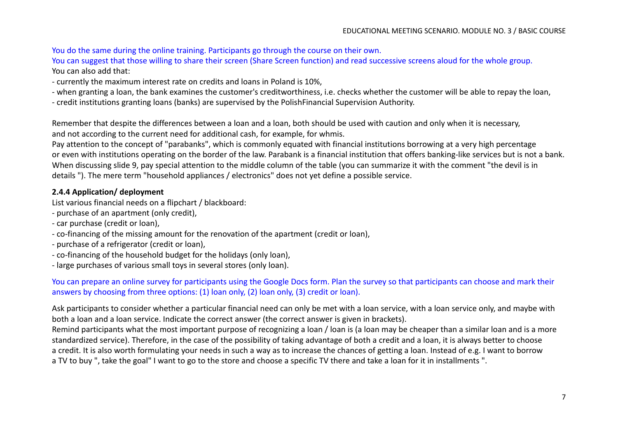You do the same during the online training. Participants go through the course on their own.

You can suggest that those willing to share their screen (Share Screen function) and read successive screens aloud for the whole group. You can also add that:

- currently the maximum interest rate on credits and loans in Poland is 10%,
- when granting a loan, the bank examines the customer's creditworthiness, i.e. checks whether the customer will be able to repay the loan,
- credit institutions granting loans (banks) are supervised by the PolishFinancial Supervision Authority.

Remember that despite the differences between a loan and a loan, both should be used with caution and only when it is necessary, and not according to the current need for additional cash, for example, for whmis.

Pay attention to the concept of "parabanks", which is commonly equated with financial institutions borrowing at a very high percentage or even with institutions operating on the border of the law. Parabank is a financial institution that offers banking-like services but is not a bank. When discussing slide 9, pay special attention to the middle column of the table (you can summarize it with the comment "the devil is in details "). The mere term "household appliances / electronics" does not yet define a possible service.

## **2.4.4 Application/ deployment**

List various financial needs on a flipchart / blackboard:

- purchase of an apartment (only credit),
- car purchase (credit or loan),
- co-financing of the missing amount for the renovation of the apartment (credit or loan),
- purchase of a refrigerator (credit or loan),
- co-financing of the household budget for the holidays (only loan),
- large purchases of various small toys in several stores (only loan).

You can prepare an online survey for participants using the Google Docs form. Plan the survey so that participants can choose and mark their answers by choosing from three options: (1) loan only, (2) loan only, (3) credit or loan).

Ask participants to consider whether a particular financial need can only be met with a loan service, with a loan service only, and maybe with both a loan and a loan service. Indicate the correct answer (the correct answer is given in brackets).

Remind participants what the most important purpose of recognizing a loan / loan is (a loan may be cheaper than a similar loan and is a more standardized service). Therefore, in the case of the possibility of taking advantage of both a credit and a loan, it is always better to choose a credit. It is also worth formulating your needs in such a way as to increase the chances of getting a loan. Instead of e.g. I want to borrow a TV to buy ", take the goal" I want to go to the store and choose a specific TV there and take a loan for it in installments ".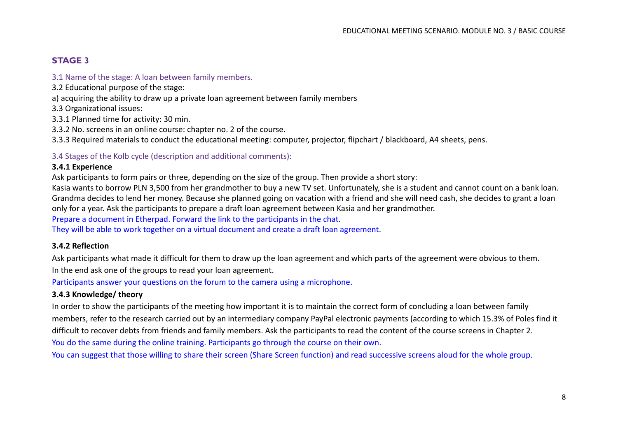# **STAGE 3**

#### 3.1 Name of the stage: A loan between family members.

- 3.2 Educational purpose of the stage:
- a) acquiring the ability to draw up a private loan agreement between family members
- 3.3 Organizational issues:
- 3.3.1 Planned time for activity: 30 min.
- 3.3.2 No. screens in an online course: chapter no. 2 of the course.
- 3.3.3 Required materials to conduct the educational meeting: computer, projector, flipchart / blackboard, A4 sheets, pens.

#### 3.4 Stages of the Kolb cycle (description and additional comments):

#### **3.4.1 Experience**

Ask participants to form pairs or three, depending on the size of the group. Then provide a short story:

Kasia wants to borrow PLN 3,500 from her grandmother to buy a new TV set. Unfortunately, she is a student and cannot count on a bank loan. Grandma decides to lend her money. Because she planned going on vacation with a friend and she will need cash, she decides to grant a loan only for a year. Ask the participants to prepare a draft loan agreement between Kasia and her grandmother.

Prepare a document in Etherpad. Forward the link to the participants in the chat.

They will be able to work together on a virtual document and create a draft loan agreement.

#### **3.4.2 Reflection**

Ask participants what made it difficult for them to draw up the loan agreement and which parts of the agreement were obvious to them. In the end ask one of the groups to read your loan agreement.

Participants answer your questions on the forum to the camera using a microphone.

#### **3.4.3 Knowledge/ theory**

In order to show the participants of the meeting how important it is to maintain the correct form of concluding a loan between family members, refer to the research carried out by an intermediary company PayPal electronic payments (according to which 15.3% of Poles find it difficult to recover debts from friends and family members. Ask the participants to read the content of the course screens in Chapter 2. You do the same during the online training. Participants go through the course on their own.

You can suggest that those willing to share their screen (Share Screen function) and read successive screens aloud for the whole group.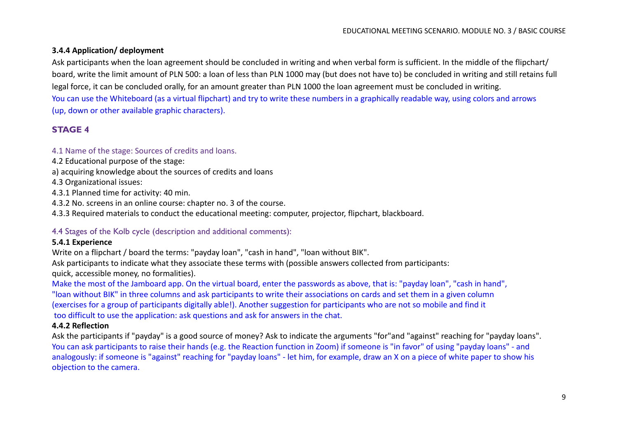## **3.4.4 Application/ deployment**

Ask participants when the loan agreement should be concluded in writing and when verbal form is sufficient. In the middle of the flipchart/ board, write the limit amount of PLN 500: a loan of less than PLN 1000 may (but does not have to) be concluded in writing and still retains full legal force, it can be concluded orally, for an amount greater than PLN 1000 the loan agreement must be concluded in writing. You can use the Whiteboard (as a virtual flipchart) and try to write these numbers in a graphically readable way, using colors and arrows (up, down or other available graphic characters).

## **STAGE 4**

#### 4.1 Name of the stage: Sources of credits and loans.

- 4.2 Educational purpose of the stage:
- a) acquiring knowledge about the sources of credits and loans
- 4.3 Organizational issues:
- 4.3.1 Planned time for activity: 40 min.
- 4.3.2 No. screens in an online course: chapter no. 3 of the course.
- 4.3.3 Required materials to conduct the educational meeting: computer, projector, flipchart, blackboard.

#### 4.4 Stages of the Kolb cycle (description and additional comments):

#### **5.4.1 Experience**

Write on a flipchart / board the terms: "payday loan", "cash in hand", "loan without BIK".

Ask participants to indicate what they associate these terms with (possible answers collected from participants:

quick, accessible money, no formalities).

Make the most of the Jamboard app. On the virtual board, enter the passwords as above, that is: "payday loan", "cash in hand", "loan without BIK" in three columns and ask participants to write their associations on cards and set them in a given column (exercises for a group of participants digitally able!). Another suggestion for participants who are not so mobile and find it too difficult to use the application: ask questions and ask for answers in the chat.

#### **4.4.2 Reflection**

Ask the participants if "payday" is a good source of money? Ask to indicate the arguments "for"and "against" reaching for "payday loans". You can ask participants to raise their hands (e.g. the Reaction function in Zoom) if someone is "in favor" of using "payday loans" - and analogously: if someone is "against" reaching for "payday loans" - let him, for example, draw an X on a piece of white paper to show his objection to the camera.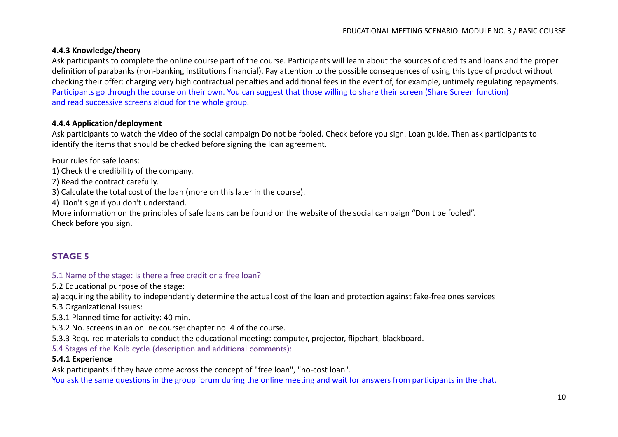## **4.4.3 Knowledge/theory**

Ask participants to complete the online course part of the course. Participants will learn about the sources of credits and loans and the proper definition of parabanks (non-banking institutions financial). Pay attention to the possible consequences of using this type of product without checking their offer: charging very high contractual penalties and additional fees in the event of, for example, untimely regulating repayments. Participants go through the course on their own. You can suggest that those willing to share their screen (Share Screen function) and read successive screens aloud for the whole group.

## **4.4.4 Application/deployment**

Ask participants to watch the video of the social campaign Do not be fooled. Check before you sign. Loan guide. Then ask participants to identify the items that should be checked before signing the loan agreement.

Four rules for safe loans:

1) Check the credibility of the company.

2) Read the contract carefully.

3) Calculate the total cost of the loan (more on this later in the course).

4) Don't sign if you don't understand.

More information on the principles of safe loans can be found on the website of the social campaign "Don't be fooled". Check before you sign.

## **STAGE 5**

#### 5.1 Name of the stage: Is there a free credit or a free loan?

5.2 Educational purpose of the stage:

a) acquiring the ability to independently determine the actual cost of the loan and protection against fake-free ones services

5.3 Organizational issues:

5.3.1 Planned time for activity: 40 min.

5.3.2 No. screens in an online course: chapter no. 4 of the course.

5.3.3 Required materials to conduct the educational meeting: computer, projector, flipchart, blackboard.

5.4 Stages of the Kolb cycle (description and additional comments):

#### **5.4.1 Experience**

Ask participants if they have come across the concept of "free loan", "no-cost loan".

You ask the same questions in the group forum during the online meeting and wait for answers from participants in the chat.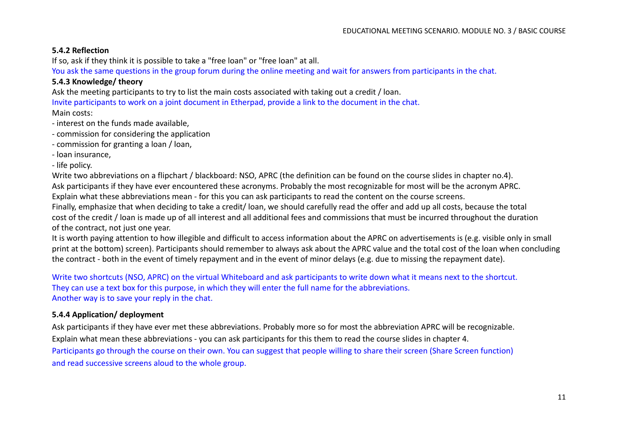## **5.4.2 Reflection**

If so, ask if they think it is possible to take a "free loan" or "free loan" at all.

You ask the same questions in the group forum during the online meeting and wait for answers from participants in the chat.

#### **5.4.3 Knowledge/ theory**

Ask the meeting participants to try to list the main costs associated with taking out a credit / loan.

Invite participants to work on a joint document in Etherpad, provide a link to the document in the chat.

Main costs:

- interest on the funds made available,
- commission for considering the application
- commission for granting a loan / loan,
- loan insurance,

- life policy.

Write two abbreviations on a flipchart / blackboard: NSO, APRC (the definition can be found on the course slides in chapter no.4). Ask participants if they have ever encountered these acronyms. Probably the most recognizable for most will be the acronym APRC. Explain what these abbreviations mean - for this you can ask participants to read the content on the course screens. Finally, emphasize that when deciding to take a credit/ loan, we should carefully read the offer and add up all costs, because the total cost of the credit / loan is made up of all interest and all additional fees and commissions that must be incurred throughout the duration of the contract, not just one year.

It is worth paying attention to how illegible and difficult to access information about the APRC on advertisements is (e.g. visible only in small print at the bottom) screen). Participants should remember to always ask about the APRC value and the total cost of the loan when concluding the contract - both in the event of timely repayment and in the event of minor delays (e.g. due to missing the repayment date).

Write two shortcuts (NSO, APRC) on the virtual Whiteboard and ask participants to write down what it means next to the shortcut. They can use a text box for this purpose, in which they will enter the full name for the abbreviations. Another way is to save your reply in the chat.

## **5.4.4 Application/ deployment**

Ask participants if they have ever met these abbreviations. Probably more so for most the abbreviation APRC will be recognizable. Explain what mean these abbreviations - you can ask participants for this them to read the course slides in chapter 4. Participants go through the course on their own. You can suggest that people willing to share their screen (Share Screen function) and read successive screens aloud to the whole group.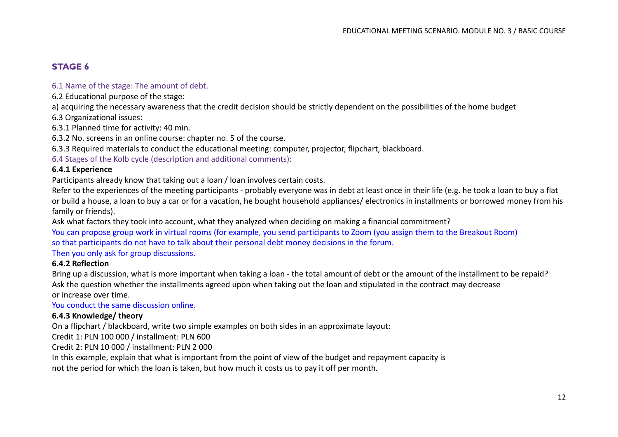# **STAGE 6**

## 6.1 Name of the stage: The amount of debt.

6.2 Educational purpose of the stage:

a) acquiring the necessary awareness that the credit decision should be strictly dependent on the possibilities of the home budget

6.3 Organizational issues:

6.3.1 Planned time for activity: 40 min.

6.3.2 No. screens in an online course: chapter no. 5 of the course.

6.3.3 Required materials to conduct the educational meeting: computer, projector, flipchart, blackboard.

6.4 Stages of the Kolb cycle (description and additional comments):

## **6.4.1 Experience**

Participants already know that taking out a loan / loan involves certain costs.

Refer to the experiences of the meeting participants - probably everyone was in debt at least once in their life (e.g. he took a loan to buy a flat or build a house, a loan to buy a car or for a vacation, he bought household appliances/ electronics in installments or borrowed money from his family or friends).

Ask what factors they took into account, what they analyzed when deciding on making a financial commitment?

You can propose group work in virtual rooms (for example, you send participants to Zoom (you assign them to the Breakout Room) so that participants do not have to talk about their personal debt money decisions in the forum.

Then you only ask for group discussions.

#### **6.4.2 Reflection**

Bring up a discussion, what is more important when taking a loan - the total amount of debt or the amount of the installment to be repaid? Ask the question whether the installments agreed upon when taking out the loan and stipulated in the contract may decrease or increase over time.

You conduct the same discussion online.

## **6.4.3 Knowledge/ theory**

On a flipchart / blackboard, write two simple examples on both sides in an approximate layout:

Credit 1: PLN 100 000 / installment: PLN 600

Credit 2: PLN 10 000 / installment: PLN 2 000

In this example, explain that what is important from the point of view of the budget and repayment capacity is not the period for which the loan is taken, but how much it costs us to pay it off per month.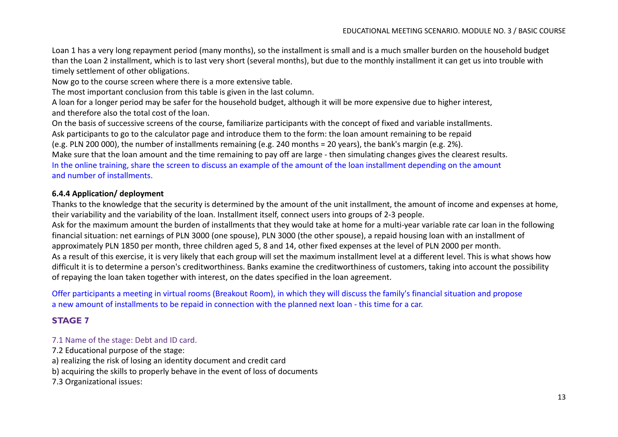Loan 1 has a very long repayment period (many months), so the installment is small and is a much smaller burden on the household budget than the Loan 2 installment, which is to last very short (several months), but due to the monthly installment it can get us into trouble with timely settlement of other obligations.

Now go to the course screen where there is a more extensive table.

The most important conclusion from this table is given in the last column.

A loan for a longer period may be safer for the household budget, although it will be more expensive due to higher interest, and therefore also the total cost of the loan.

On the basis of successive screens of the course, familiarize participants with the concept of fixed and variable installments.

Ask participants to go to the calculator page and introduce them to the form: the loan amount remaining to be repaid

(e.g. PLN 200 000), the number of installments remaining (e.g. 240 months = 20 years), the bank's margin (e.g. 2%).

Make sure that the loan amount and the time remaining to pay off are large - then simulating changes gives the clearest results. In the online training, share the screen to discuss an example of the amount of the loan installment depending on the amount and number of installments.

#### **6.4.4 Application/ deployment**

Thanks to the knowledge that the security is determined by the amount of the unit installment, the amount of income and expenses at home, their variability and the variability of the loan. Installment itself, connect users into groups of 2-3 people.

Ask for the maximum amount the burden of installments that they would take at home for a multi-year variable rate car loan in the following financial situation: net earnings of PLN 3000 (one spouse), PLN 3000 (the other spouse), a repaid housing loan with an installment of approximately PLN 1850 per month, three children aged 5, 8 and 14, other fixed expenses at the level of PLN 2000 per month. As a result of this exercise, it is very likely that each group will set the maximum installment level at a different level. This is what shows how difficult it is to determine a person's creditworthiness. Banks examine the creditworthiness of customers, taking into account the possibility of repaying the loan taken together with interest, on the dates specified in the loan agreement.

Offer participants a meeting in virtual rooms (Breakout Room), in which they will discuss the family's financial situation and propose a new amount of installments to be repaid in connection with the planned next loan - this time for a car.

## **STAGE 7**

#### 7.1 Name of the stage: Debt and ID card.

7.2 Educational purpose of the stage:

a) realizing the risk of losing an identity document and credit card

b) acquiring the skills to properly behave in the event of loss of documents

7.3 Organizational issues: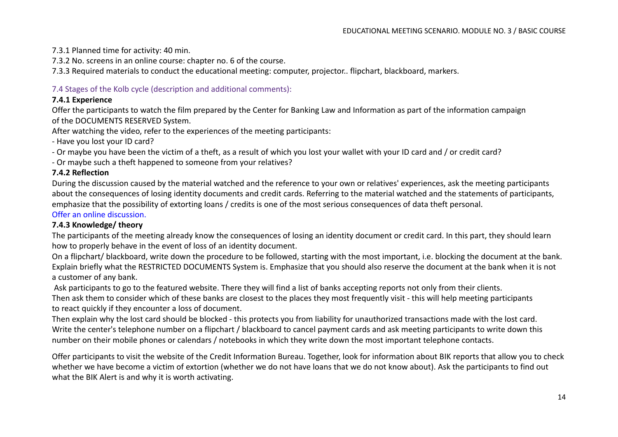## 7.3.1 Planned time for activity: 40 min.

7.3.2 No. screens in an online course: chapter no. 6 of the course.

7.3.3 Required materials to conduct the educational meeting: computer, projector.. flipchart, blackboard, markers.

## 7.4 Stages of the Kolb cycle (description and additional comments):

## **7.4.1 Experience**

Offer the participants to watch the film prepared by the Center for Banking Law and Information as part of the information campaign of the DOCUMENTS RESERVED System.

After watching the video, refer to the experiences of the meeting participants:

- Have you lost your ID card?

- Or maybe you have been the victim of a theft, as a result of which you lost your wallet with your ID card and / or credit card?

- Or maybe such a theft happened to someone from your relatives?

## **7.4.2 Reflection**

During the discussion caused by the material watched and the reference to your own or relatives' experiences, ask the meeting participants about the consequences of losing identity documents and credit cards. Referring to the material watched and the statements of participants, emphasize that the possibility of extorting loans / credits is one of the most serious consequences of data theft personal.

## Offer an online discussion.

## **7.4.3 Knowledge/ theory**

The participants of the meeting already know the consequences of losing an identity document or credit card. In this part, they should learn how to properly behave in the event of loss of an identity document.

On a flipchart/ blackboard, write down the procedure to be followed, starting with the most important, i.e. blocking the document at the bank. Explain briefly what the RESTRICTED DOCUMENTS System is. Emphasize that you should also reserve the document at the bank when it is not a customer of any bank.

Ask participants to go to the featured website. There they will find a list of banks accepting reports not only from their clients.

Then ask them to consider which of these banks are closest to the places they most frequently visit - this will help meeting participants to react quickly if they encounter a loss of document.

Then explain why the lost card should be blocked - this protects you from liability for unauthorized transactions made with the lost card. Write the center's telephone number on a flipchart / blackboard to cancel payment cards and ask meeting participants to write down this number on their mobile phones or calendars / notebooks in which they write down the most important telephone contacts.

Offer participants to visit the website of the Credit Information Bureau. Together, look for information about BIK reports that allow you to check whether we have become a victim of extortion (whether we do not have loans that we do not know about). Ask the participants to find out what the BIK Alert is and why it is worth activating.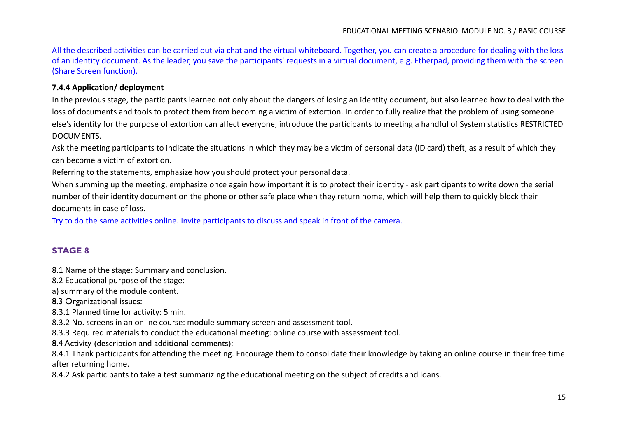All the described activities can be carried out via chat and the virtual whiteboard. Together, you can create a procedure for dealing with the loss of an identity document. As the leader, you save the participants' requests in a virtual document, e.g. Etherpad, providing them with the screen (Share Screen function).

#### **7.4.4 Application/ deployment**

In the previous stage, the participants learned not only about the dangers of losing an identity document, but also learned how to deal with the loss of documents and tools to protect them from becoming a victim of extortion. In order to fully realize that the problem of using someone else's identity for the purpose of extortion can affect everyone, introduce the participants to meeting a handful of System statistics RESTRICTED DOCUMENTS.

Ask the meeting participants to indicate the situations in which they may be a victim of personal data (ID card) theft, as a result of which they can become a victim of extortion.

Referring to the statements, emphasize how you should protect your personal data.

When summing up the meeting, emphasize once again how important it is to protect their identity - ask participants to write down the serial number of their identity document on the phone or other safe place when they return home, which will help them to quickly block their documents in case of loss.

Try to do the same activities online. Invite participants to discuss and speak in front of the camera.

## **STAGE 8**

8.1 Name of the stage: Summary and conclusion.

8.2 Educational purpose of the stage:

a) summary of the module content.

8.3 Organizational issues:

8.3.1 Planned time for activity: 5 min.

8.3.2 No. screens in an online course: module summary screen and assessment tool.

8.3.3 Required materials to conduct the educational meeting: online course with assessment tool.

8.4 Activity (description and additional comments):

8.4.1 Thank participants for attending the meeting. Encourage them to consolidate their knowledge by taking an online course in their free time after returning home.

8.4.2 Ask participants to take a test summarizing the educational meeting on the subject of credits and loans.